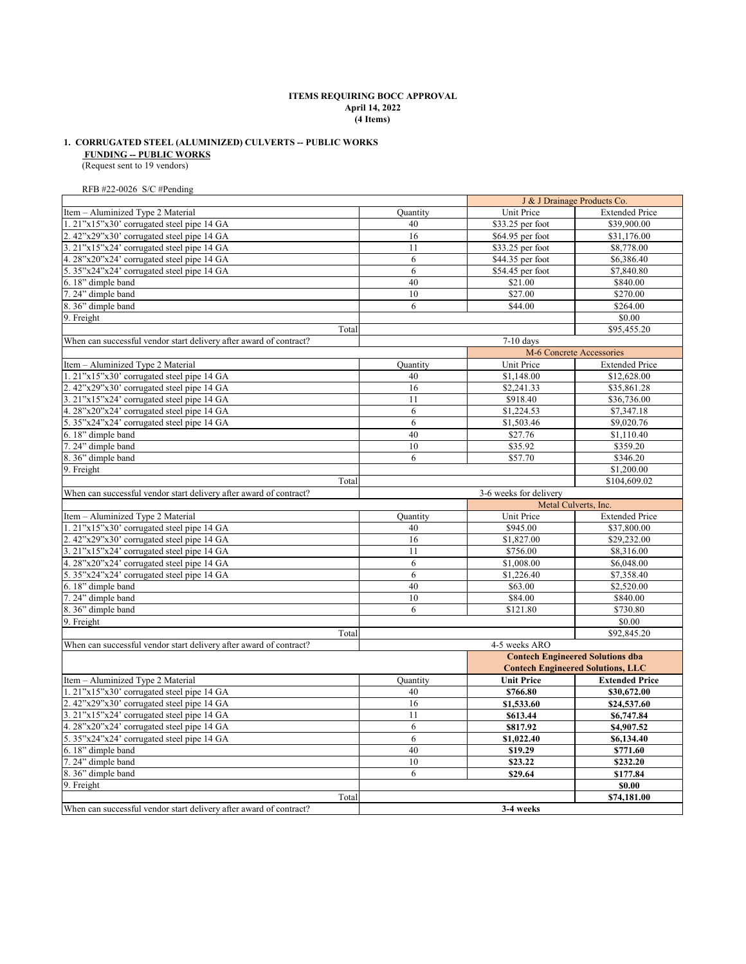## **April 14, 2022 ITEMS REQUIRING BOCC APPROVAL (4 Items)**

# **FUNDING -- PUBLIC WORKS 1. CORRUGATED STEEL (ALUMINIZED) CULVERTS -- PUBLIC WORKS**

(Request sent to 19 vendors)

RFB #22-0026 S/C #Pending

|                                                                    |          |                        | J & J Drainage Products Co.              |
|--------------------------------------------------------------------|----------|------------------------|------------------------------------------|
| Item - Aluminized Type 2 Material                                  | Quantity | Unit Price             | <b>Extended Price</b>                    |
| 1. 21"x15"x30' corrugated steel pipe 14 GA                         | 40       | \$33.25 per foot       | \$39,900.00                              |
| 2. 42"x29"x30' corrugated steel pipe 14 GA                         | 16       | \$64.95 per foot       | \$31,176.00                              |
| 3. 21"x15"x24' corrugated steel pipe 14 GA                         | 11       | \$33.25 per foot       | \$8,778.00                               |
| 4. 28"x20"x24' corrugated steel pipe 14 GA                         | 6        | \$44.35 per foot       | \$6,386.40                               |
| 5. 35"x24"x24' corrugated steel pipe 14 GA                         | 6        | \$54.45 per foot       | \$7,840.80                               |
| 6.18" dimple band                                                  | 40       | \$21.00                | \$840.00                                 |
| 7.24" dimple band                                                  | 10       | \$27.00                | \$270.00                                 |
| 8. 36" dimple band                                                 | 6        | \$44.00                | \$264.00                                 |
| 9. Freight                                                         |          |                        | \$0.00                                   |
| Total                                                              |          |                        | \$95,455.20                              |
| When can successful vendor start delivery after award of contract? |          | $7-10$ days            |                                          |
|                                                                    |          |                        | M-6 Concrete Accessories                 |
| Item - Aluminized Type 2 Material                                  | Quantity | Unit Price             | <b>Extended Price</b>                    |
| 1. 21"x15"x30' corrugated steel pipe 14 GA                         | 40       | \$1,148.00             | \$12,628.00                              |
| 2. 42"x29"x30' corrugated steel pipe 14 GA                         | 16       | \$2,241.33             | \$35,861.28                              |
| 3. 21"x15"x24' corrugated steel pipe 14 GA                         | 11       | \$918.40               | \$36,736.00                              |
| 4. 28"x20"x24' corrugated steel pipe 14 GA                         | 6        | \$1,224.53             | \$7,347.18                               |
| 5. 35"x24"x24' corrugated steel pipe 14 GA                         | 6        | \$1,503.46             | \$9,020.76                               |
| 6.18" dimple band                                                  | 40       | \$27.76                | \$1,110.40                               |
| 7.24" dimple band                                                  | 10       | \$35.92                | \$359.20                                 |
| 8. 36" dimple band                                                 | 6        | \$57.70                | \$346.20                                 |
| 9. Freight                                                         |          |                        | \$1,200.00                               |
| Total                                                              |          |                        | \$104,609.02                             |
| When can successful vendor start delivery after award of contract? |          | 3-6 weeks for delivery |                                          |
|                                                                    |          |                        | Metal Culverts, Inc.                     |
| Item - Aluminized Type 2 Material                                  | Quantity | Unit Price             | <b>Extended Price</b>                    |
| 1. 21"x15"x30' corrugated steel pipe 14 GA                         | 40       | \$945.00               | \$37,800.00                              |
| 2. 42"x29"x30' corrugated steel pipe 14 GA                         | 16       | \$1,827.00             | \$29,232.00                              |
| 3. 21"x15"x24' corrugated steel pipe 14 GA                         | 11       | \$756.00               | \$8,316.00                               |
| 4. 28"x20"x24' corrugated steel pipe 14 GA                         | 6        | \$1,008.00             | \$6,048.00                               |
| 5. 35"x24"x24' corrugated steel pipe 14 GA                         | 6        | \$1,226.40             | \$7,358.40                               |
| 6.18" dimple band                                                  | 40       | \$63.00                | \$2,520.00                               |
| 7.24" dimple band                                                  | 10       | \$84.00                | \$840.00                                 |
| 8. 36" dimple band                                                 | 6        | \$121.80               | \$730.80                                 |
| 9. Freight                                                         |          |                        | \$0.00                                   |
| Total                                                              |          |                        | \$92,845.20                              |
| When can successful vendor start delivery after award of contract? |          | 4-5 weeks ARO          |                                          |
|                                                                    |          |                        | <b>Contech Engineered Solutions dba</b>  |
|                                                                    |          |                        | <b>Contech Engineered Solutions, LLC</b> |
| Item - Aluminized Type 2 Material                                  | Quantity | <b>Unit Price</b>      | <b>Extended Price</b>                    |
| 1. 21"x15"x30' corrugated steel pipe 14 GA                         | 40       |                        |                                          |
|                                                                    | 16       | \$766.80               | \$30,672.00                              |
| 2. 42"x29"x30' corrugated steel pipe 14 GA                         | 11       | \$1,533.60             | \$24,537.60                              |
| 3. 21"x15"x24' corrugated steel pipe 14 GA                         |          | \$613.44               | \$6,747.84                               |
| 4. 28"x20"x24' corrugated steel pipe 14 GA                         | 6<br>6   | \$817.92               | \$4,907.52                               |
| 5. 35"x24"x24' corrugated steel pipe 14 GA                         |          | \$1,022.40             | \$6,134.40                               |
| 6.18" dimple band                                                  | 40       | \$19.29                | \$771.60                                 |
| 7.24" dimple band                                                  | 10       | \$23.22                | \$232.20                                 |
| 8. 36" dimple band                                                 | 6        | \$29.64                | \$177.84                                 |
| 9. Freight                                                         |          |                        | \$0.00                                   |
| Total                                                              |          |                        | \$74,181.00                              |
| When can successful vendor start delivery after award of contract? |          | 3-4 weeks              |                                          |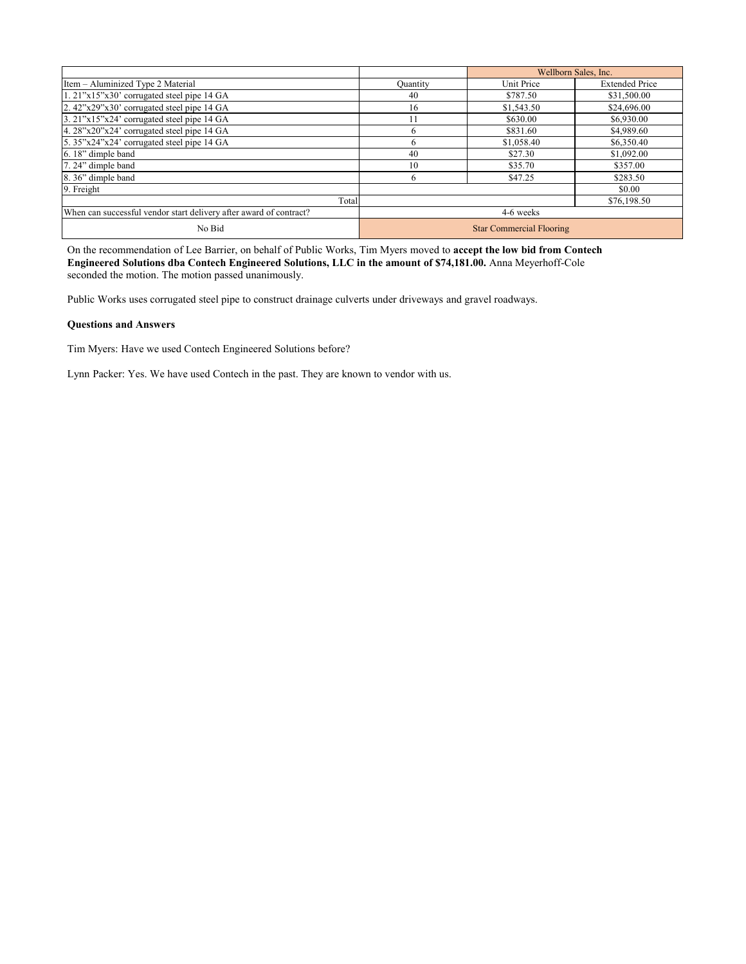|                                                                    | Wellborn Sales, Inc.            |            |                       |
|--------------------------------------------------------------------|---------------------------------|------------|-----------------------|
| Item - Aluminized Type 2 Material                                  | Quantity                        | Unit Price | <b>Extended Price</b> |
| $1.21"x15"x30'$ corrugated steel pipe 14 GA                        | 40                              | \$787.50   | \$31,500.00           |
| 2. $42^{\circ}x29^{\circ}x30^{\circ}$ corrugated steel pipe 14 GA  | 16                              | \$1,543.50 | \$24,696.00           |
| 3. 21"x15"x24' corrugated steel pipe 14 GA                         | 11                              | \$630.00   | \$6,930.00            |
| 4. 28"x20"x24' corrugated steel pipe 14 GA                         | 6                               | \$831.60   | \$4,989.60            |
| 5. 35"x24"x24" corrugated steel pipe 14 GA                         | 6                               | \$1,058.40 | \$6,350.40            |
| 6.18" dimple band                                                  | 40                              | \$27.30    | \$1,092.00            |
| 7.24" dimple band                                                  | 10                              | \$35.70    | \$357.00              |
| 8.36" dimple band                                                  | 6                               | \$47.25    | \$283.50              |
| 9. Freight                                                         |                                 |            | \$0.00                |
| Total                                                              |                                 |            | \$76,198.50           |
| When can successful vendor start delivery after award of contract? |                                 | 4-6 weeks  |                       |
| No Bid                                                             | <b>Star Commercial Flooring</b> |            |                       |

On the recommendation of Lee Barrier, on behalf of Public Works, Tim Myers moved to **accept the low bid from Contech Engineered Solutions dba Contech Engineered Solutions, LLC in the amount of \$74,181.00.** Anna Meyerhoff-Cole seconded the motion. The motion passed unanimously.

Public Works uses corrugated steel pipe to construct drainage culverts under driveways and gravel roadways.

# **Questions and Answers**

Tim Myers: Have we used Contech Engineered Solutions before?

Lynn Packer: Yes. We have used Contech in the past. They are known to vendor with us.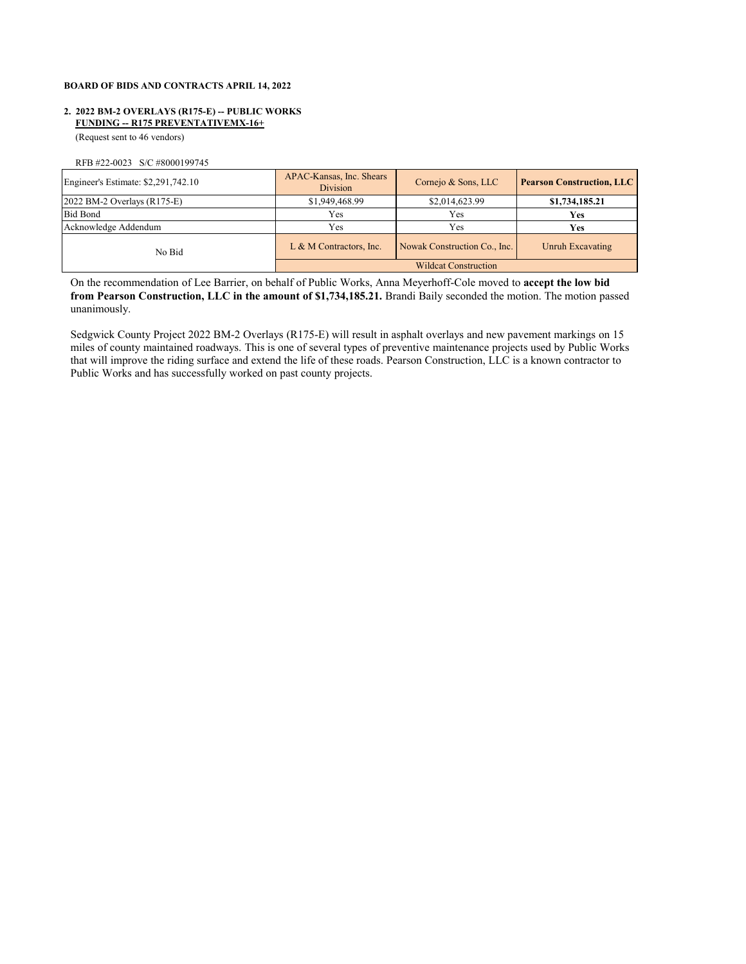# **BOARD OF BIDS AND CONTRACTS APRIL 14, 2022**

# **2. 2022 BM-2 OVERLAYS (R175-E) -- PUBLIC WORKS FUNDING -- R175 PREVENTATIVEMX-16+**

(Request sent to 46 vendors)

RFB #22-0023 S/C #8000199745

| Engineer's Estimate: \$2,291,742.10 | APAC-Kansas, Inc. Shears<br><b>Division</b> | Cornejo & Sons, LLC          | <b>Pearson Construction, LLC</b> |  |
|-------------------------------------|---------------------------------------------|------------------------------|----------------------------------|--|
| $2022$ BM-2 Overlays $(R175-E)$     | \$1,949,468.99                              | \$2,014,623.99               | \$1,734,185.21                   |  |
| <b>Bid Bond</b>                     | Yes                                         | Yes                          | <b>Yes</b>                       |  |
| Acknowledge Addendum                | Yes                                         | Yes                          | <b>Yes</b>                       |  |
| No Bid                              | L & M Contractors, Inc.                     | Nowak Construction Co., Inc. | Unruh Excavating                 |  |
|                                     | <b>Wildcat Construction</b>                 |                              |                                  |  |

On the recommendation of Lee Barrier, on behalf of Public Works, Anna Meyerhoff-Cole moved to **accept the low bid from Pearson Construction, LLC in the amount of \$1,734,185.21.** Brandi Baily seconded the motion. The motion passed unanimously.

Sedgwick County Project 2022 BM-2 Overlays (R175-E) will result in asphalt overlays and new pavement markings on 15 miles of county maintained roadways. This is one of several types of preventive maintenance projects used by Public Works that will improve the riding surface and extend the life of these roads. Pearson Construction, LLC is a known contractor to Public Works and has successfully worked on past county projects.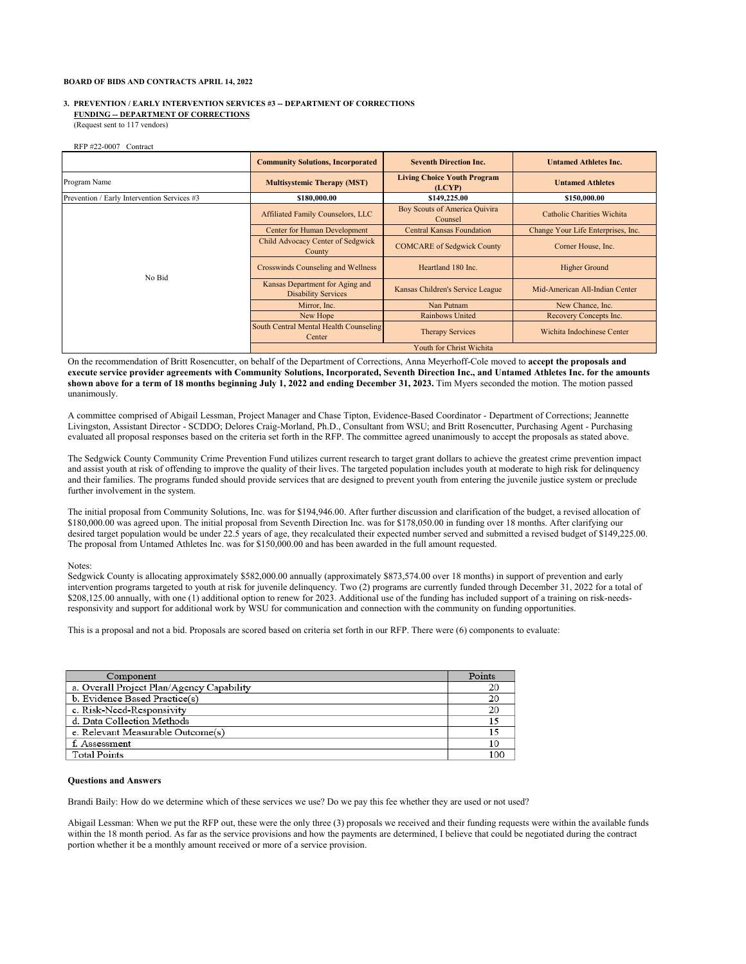#### **BOARD OF BIDS AND CONTRACTS APRIL 14, 2022**

## **3. PREVENTION / EARLY INTERVENTION SERVICES #3 -- DEPARTMENT OF CORRECTIONS FUNDING -- DEPARTMENT OF CORRECTIONS**

(Request sent to 117 vendors)

RFP #22-0007 Contract

|                                             | <b>Community Solutions, Incorporated</b>                      | <b>Seventh Direction Inc.</b>                | <b>Untamed Athletes Inc.</b>       |
|---------------------------------------------|---------------------------------------------------------------|----------------------------------------------|------------------------------------|
| Program Name                                | <b>Multisystemic Therapy (MST)</b>                            | <b>Living Choice Youth Program</b><br>(LCYP) | <b>Untamed Athletes</b>            |
| Prevention / Early Intervention Services #3 | \$180,000.00                                                  | \$149,225.00                                 | \$150,000.00                       |
|                                             | Affiliated Family Counselors, LLC                             | Boy Scouts of America Quivira<br>Counsel     | Catholic Charities Wichita         |
|                                             | <b>Center for Human Development</b>                           | <b>Central Kansas Foundation</b>             | Change Your Life Enterprises, Inc. |
| No Bid                                      | Child Advocacy Center of Sedgwick<br>County                   | <b>COMCARE</b> of Sedgwick County            | Corner House, Inc.                 |
|                                             | Crosswinds Counseling and Wellness                            | Heartland 180 Inc.                           | <b>Higher Ground</b>               |
|                                             | Kansas Department for Aging and<br><b>Disability Services</b> | Kansas Children's Service League             | Mid-American All-Indian Center     |
|                                             | Mirror, Inc.                                                  | Nan Putnam                                   | New Chance, Inc.                   |
|                                             | New Hope                                                      | Rainbows United                              | Recovery Concepts Inc.             |
|                                             | South Central Mental Health Counseling<br>Center              | <b>Therapy Services</b>                      | Wichita Indochinese Center         |
|                                             | Youth for Christ Wichita                                      |                                              |                                    |

On the recommendation of Britt Rosencutter, on behalf of the Department of Corrections, Anna Meyerhoff-Cole moved to **accept the proposals and execute service provider agreements with Community Solutions, Incorporated, Seventh Direction Inc., and Untamed Athletes Inc. for the amounts**  shown above for a term of 18 months beginning July 1, 2022 and ending December 31, 2023. Tim Myers seconded the motion. The motion passed unanimously.

A committee comprised of Abigail Lessman, Project Manager and Chase Tipton, Evidence-Based Coordinator - Department of Corrections; Jeannette Livingston, Assistant Director - SCDDO; Delores Craig-Morland, Ph.D., Consultant from WSU; and Britt Rosencutter, Purchasing Agent - Purchasing evaluated all proposal responses based on the criteria set forth in the RFP. The committee agreed unanimously to accept the proposals as stated above.

The Sedgwick County Community Crime Prevention Fund utilizes current research to target grant dollars to achieve the greatest crime prevention impact and assist youth at risk of offending to improve the quality of their lives. The targeted population includes youth at moderate to high risk for delinquency and their families. The programs funded should provide services that are designed to prevent youth from entering the juvenile justice system or preclude further involvement in the system.

The initial proposal from Community Solutions, Inc. was for \$194,946.00. After further discussion and clarification of the budget, a revised allocation of \$180,000.00 was agreed upon. The initial proposal from Seventh Direction Inc. was for \$178,050.00 in funding over 18 months. After clarifying our desired target population would be under 22.5 years of age, they recalculated their expected number served and submitted a revised budget of \$149,225.00. The proposal from Untamed Athletes Inc. was for \$150,000.00 and has been awarded in the full amount requested.

## Notes:

Sedgwick County is allocating approximately \$582,000.00 annually (approximately \$873,574.00 over 18 months) in support of prevention and early intervention programs targeted to youth at risk for juvenile delinquency. Two (2) programs are currently funded through December 31, 2022 for a total of \$208,125.00 annually, with one (1) additional option to renew for 2023. Additional use of the funding has included support of a training on risk-needsresponsivity and support for additional work by WSU for communication and connection with the community on funding opportunities.

This is a proposal and not a bid. Proposals are scored based on criteria set forth in our RFP. There were (6) components to evaluate:

| Component                                 | Points |
|-------------------------------------------|--------|
| a. Overall Project Plan/Agency Capability |        |
| b. Evidence Based Practice(s)             | 20     |
| c. Risk-Need-Responsivity                 | 20     |
| d. Data Collection Methods                |        |
| e. Relevant Measurable Outcome(s)         |        |
| f. Assessment                             | 10     |
| <b>Total Points</b>                       | 100    |

## **Questions and Answers**

Brandi Baily: How do we determine which of these services we use? Do we pay this fee whether they are used or not used?

Abigail Lessman: When we put the RFP out, these were the only three (3) proposals we received and their funding requests were within the available funds within the 18 month period. As far as the service provisions and how the payments are determined, I believe that could be negotiated during the contract portion whether it be a monthly amount received or more of a service provision.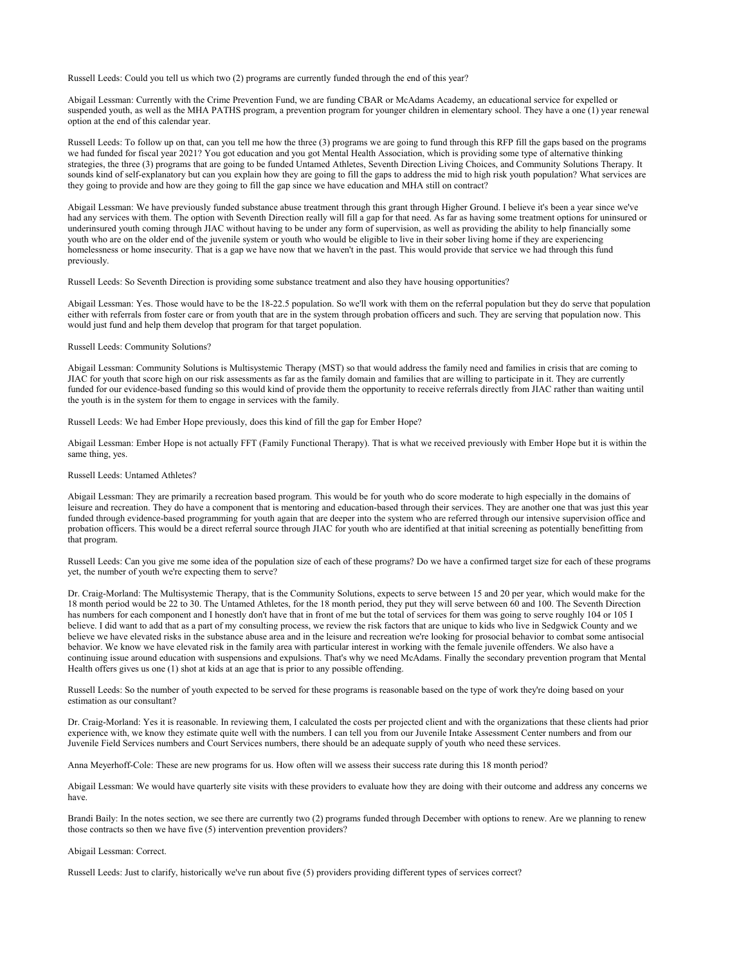Russell Leeds: Could you tell us which two (2) programs are currently funded through the end of this year?

Abigail Lessman: Currently with the Crime Prevention Fund, we are funding CBAR or McAdams Academy, an educational service for expelled or suspended youth, as well as the MHA PATHS program, a prevention program for younger children in elementary school. They have a one (1) year renewal option at the end of this calendar year.

Russell Leeds: To follow up on that, can you tell me how the three (3) programs we are going to fund through this RFP fill the gaps based on the programs we had funded for fiscal year 2021? You got education and you got Mental Health Association, which is providing some type of alternative thinking strategies, the three (3) programs that are going to be funded Untamed Athletes, Seventh Direction Living Choices, and Community Solutions Therapy. It sounds kind of self-explanatory but can you explain how they are going to fill the gaps to address the mid to high risk youth population? What services are they going to provide and how are they going to fill the gap since we have education and MHA still on contract?

Abigail Lessman: We have previously funded substance abuse treatment through this grant through Higher Ground. I believe it's been a year since we've had any services with them. The option with Seventh Direction really will fill a gap for that need. As far as having some treatment options for uninsured or underinsured youth coming through JIAC without having to be under any form of supervision, as well as providing the ability to help financially some youth who are on the older end of the juvenile system or youth who would be eligible to live in their sober living home if they are experiencing homelessness or home insecurity. That is a gap we have now that we haven't in the past. This would provide that service we had through this fund previously.

Russell Leeds: So Seventh Direction is providing some substance treatment and also they have housing opportunities?

Abigail Lessman: Yes. Those would have to be the 18-22.5 population. So we'll work with them on the referral population but they do serve that population either with referrals from foster care or from youth that are in the system through probation officers and such. They are serving that population now. This would just fund and help them develop that program for that target population.

### Russell Leeds: Community Solutions?

Abigail Lessman: Community Solutions is Multisystemic Therapy (MST) so that would address the family need and families in crisis that are coming to JIAC for youth that score high on our risk assessments as far as the family domain and families that are willing to participate in it. They are currently funded for our evidence-based funding so this would kind of provide them the opportunity to receive referrals directly from JIAC rather than waiting until the youth is in the system for them to engage in services with the family.

Russell Leeds: We had Ember Hope previously, does this kind of fill the gap for Ember Hope?

Abigail Lessman: Ember Hope is not actually FFT (Family Functional Therapy). That is what we received previously with Ember Hope but it is within the same thing, yes.

### Russell Leeds: Untamed Athletes?

Abigail Lessman: They are primarily a recreation based program. This would be for youth who do score moderate to high especially in the domains of leisure and recreation. They do have a component that is mentoring and education-based through their services. They are another one that was just this year funded through evidence-based programming for youth again that are deeper into the system who are referred through our intensive supervision office and probation officers. This would be a direct referral source through JIAC for youth who are identified at that initial screening as potentially benefitting from that program.

Russell Leeds: Can you give me some idea of the population size of each of these programs? Do we have a confirmed target size for each of these programs yet, the number of youth we're expecting them to serve?

Dr. Craig-Morland: The Multisystemic Therapy, that is the Community Solutions, expects to serve between 15 and 20 per year, which would make for the 18 month period would be 22 to 30. The Untamed Athletes, for the 18 month period, they put they will serve between 60 and 100. The Seventh Direction has numbers for each component and I honestly don't have that in front of me but the total of services for them was going to serve roughly 104 or 105 I believe. I did want to add that as a part of my consulting process, we review the risk factors that are unique to kids who live in Sedgwick County and we believe we have elevated risks in the substance abuse area and in the leisure and recreation we're looking for prosocial behavior to combat some antisocial behavior. We know we have elevated risk in the family area with particular interest in working with the female juvenile offenders. We also have a continuing issue around education with suspensions and expulsions. That's why we need McAdams. Finally the secondary prevention program that Mental Health offers gives us one (1) shot at kids at an age that is prior to any possible offending.

Russell Leeds: So the number of youth expected to be served for these programs is reasonable based on the type of work they're doing based on your estimation as our consultant?

Dr. Craig-Morland: Yes it is reasonable. In reviewing them, I calculated the costs per projected client and with the organizations that these clients had prior experience with, we know they estimate quite well with the numbers. I can tell you from our Juvenile Intake Assessment Center numbers and from our Juvenile Field Services numbers and Court Services numbers, there should be an adequate supply of youth who need these services.

Anna Meyerhoff-Cole: These are new programs for us. How often will we assess their success rate during this 18 month period?

Abigail Lessman: We would have quarterly site visits with these providers to evaluate how they are doing with their outcome and address any concerns we have.

Brandi Baily: In the notes section, we see there are currently two (2) programs funded through December with options to renew. Are we planning to renew those contracts so then we have five (5) intervention prevention providers?

#### Abigail Lessman: Correct.

Russell Leeds: Just to clarify, historically we've run about five (5) providers providing different types of services correct?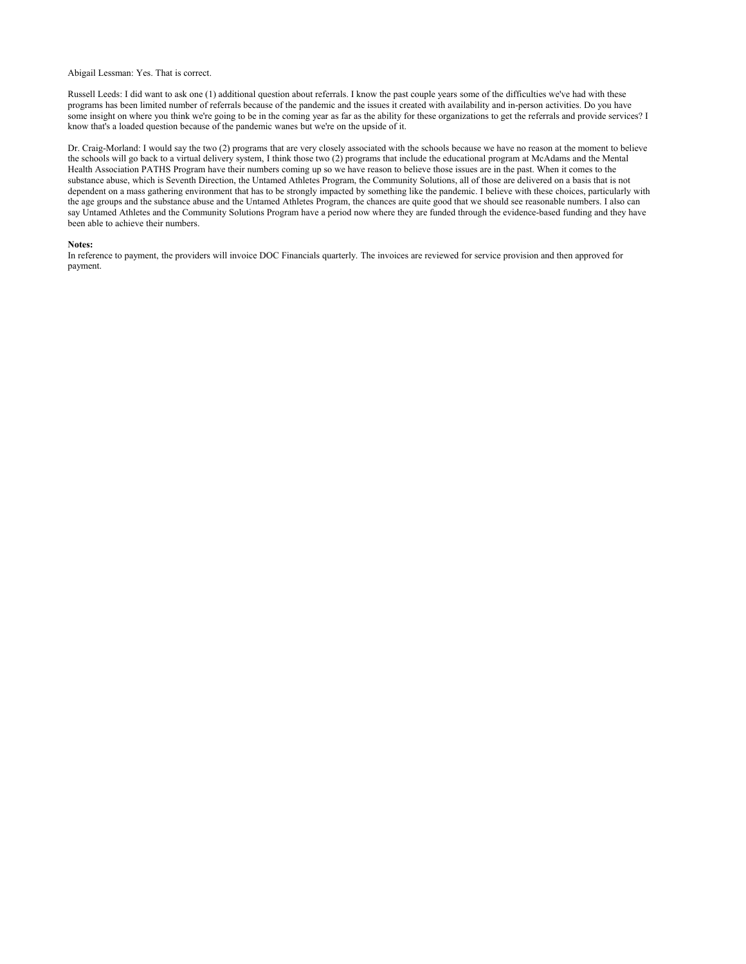Abigail Lessman: Yes. That is correct.

Russell Leeds: I did want to ask one (1) additional question about referrals. I know the past couple years some of the difficulties we've had with these programs has been limited number of referrals because of the pandemic and the issues it created with availability and in-person activities. Do you have some insight on where you think we're going to be in the coming year as far as the ability for these organizations to get the referrals and provide services? I know that's a loaded question because of the pandemic wanes but we're on the upside of it.

Dr. Craig-Morland: I would say the two (2) programs that are very closely associated with the schools because we have no reason at the moment to believe the schools will go back to a virtual delivery system, I think those two (2) programs that include the educational program at McAdams and the Mental Health Association PATHS Program have their numbers coming up so we have reason to believe those issues are in the past. When it comes to the substance abuse, which is Seventh Direction, the Untamed Athletes Program, the Community Solutions, all of those are delivered on a basis that is not dependent on a mass gathering environment that has to be strongly impacted by something like the pandemic. I believe with these choices, particularly with the age groups and the substance abuse and the Untamed Athletes Program, the chances are quite good that we should see reasonable numbers. I also can say Untamed Athletes and the Community Solutions Program have a period now where they are funded through the evidence-based funding and they have been able to achieve their numbers.

#### **Notes:**

In reference to payment, the providers will invoice DOC Financials quarterly. The invoices are reviewed for service provision and then approved for payment.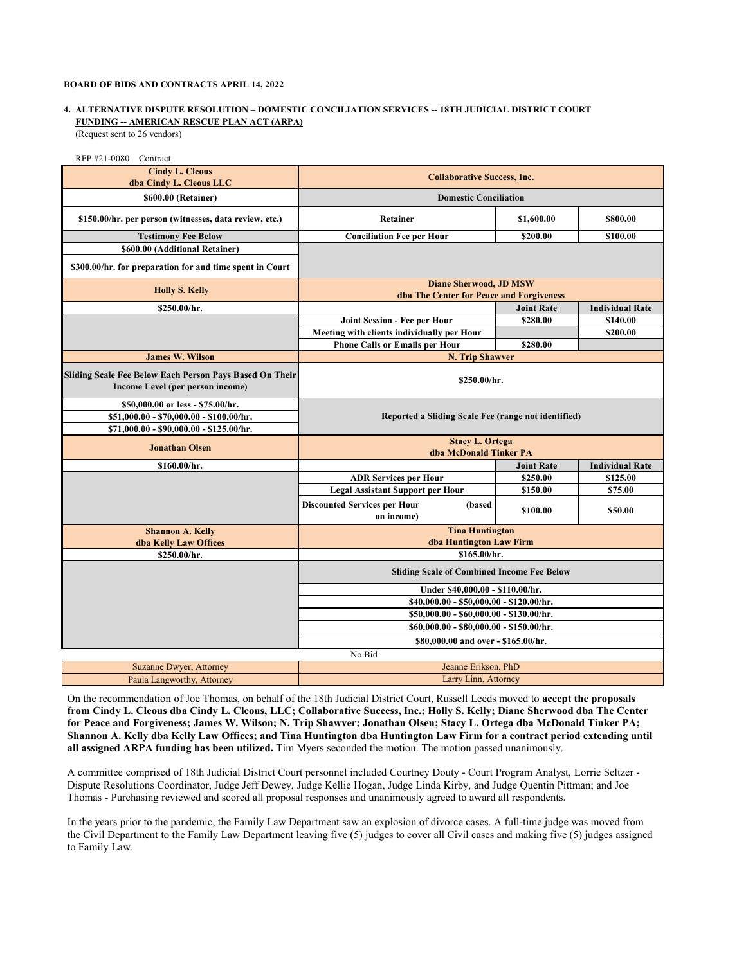## **BOARD OF BIDS AND CONTRACTS APRIL 14, 2022**

# **FUNDING -- AMERICAN RESCUE PLAN ACT (ARPA) 4. ALTERNATIVE DISPUTE RESOLUTION – DOMESTIC CONCILIATION SERVICES -- 18TH JUDICIAL DISTRICT COURT**

(Request sent to 26 vendors)

| RFP #21-0080 Contract                                                                                                     |                                                                           |                   |                        |
|---------------------------------------------------------------------------------------------------------------------------|---------------------------------------------------------------------------|-------------------|------------------------|
| <b>Cindy L. Cleous</b><br>dba Cindy L. Cleous LLC                                                                         | <b>Collaborative Success, Inc.</b>                                        |                   |                        |
| \$600.00 (Retainer)                                                                                                       | <b>Domestic Conciliation</b>                                              |                   |                        |
| \$150.00/hr. per person (witnesses, data review, etc.)                                                                    | Retainer                                                                  | \$1,600.00        | \$800.00               |
| <b>Testimony Fee Below</b>                                                                                                | <b>Conciliation Fee per Hour</b>                                          | \$200.00          | \$100.00               |
| \$600.00 (Additional Retainer)                                                                                            |                                                                           |                   |                        |
| \$300.00/hr. for preparation for and time spent in Court                                                                  |                                                                           |                   |                        |
| <b>Holly S. Kelly</b>                                                                                                     | <b>Diane Sherwood, JD MSW</b><br>dba The Center for Peace and Forgiveness |                   |                        |
|                                                                                                                           |                                                                           |                   |                        |
| \$250.00/hr.                                                                                                              |                                                                           | <b>Joint Rate</b> | <b>Individual Rate</b> |
|                                                                                                                           | Joint Session - Fee per Hour                                              | \$280.00          | \$140.00               |
|                                                                                                                           | Meeting with clients individually per Hour                                |                   | \$200.00               |
|                                                                                                                           | <b>Phone Calls or Emails per Hour</b>                                     | \$280.00          |                        |
| <b>James W. Wilson</b>                                                                                                    | N. Trip Shawver                                                           |                   |                        |
| Sliding Scale Fee Below Each Person Pays Based On Their<br>Income Level (per person income)                               | \$250.00/hr.                                                              |                   |                        |
| \$50,000.00 or less - \$75.00/hr.<br>\$51,000.00 - \$70,000.00 - \$100.00/hr.<br>\$71,000.00 - \$90,000.00 - \$125.00/hr. | Reported a Sliding Scale Fee (range not identified)                       |                   |                        |
| <b>Jonathan Olsen</b>                                                                                                     | <b>Stacy L. Ortega</b><br>dba McDonald Tinker PA                          |                   |                        |
| \$160.00/hr.                                                                                                              |                                                                           | <b>Joint Rate</b> | <b>Individual Rate</b> |
|                                                                                                                           | <b>ADR Services per Hour</b>                                              | \$250.00          | \$125.00               |
|                                                                                                                           | <b>Legal Assistant Support per Hour</b>                                   | \$150.00          | \$75.00                |
|                                                                                                                           | <b>Discounted Services per Hour</b><br>(based<br>on income)               | \$100.00          | \$50.00                |
| <b>Shannon A. Kelly</b><br>dba Kelly Law Offices                                                                          | <b>Tina Huntington</b><br>dba Huntington Law Firm                         |                   |                        |
| \$250.00/hr.                                                                                                              | \$165.00/hr.                                                              |                   |                        |
|                                                                                                                           | <b>Sliding Scale of Combined Income Fee Below</b>                         |                   |                        |
|                                                                                                                           | Under \$40,000.00 - \$110.00/hr.                                          |                   |                        |
|                                                                                                                           | \$40,000.00 - \$50,000.00 - \$120.00/hr.                                  |                   |                        |
|                                                                                                                           | \$50,000.00 - \$60,000.00 - \$130.00/hr.                                  |                   |                        |
|                                                                                                                           | \$60,000.00 - \$80,000.00 - \$150.00/hr.                                  |                   |                        |
|                                                                                                                           | \$80,000.00 and over - \$165.00/hr.                                       |                   |                        |
|                                                                                                                           | No Bid                                                                    |                   |                        |
| Suzanne Dwyer, Attorney                                                                                                   | Jeanne Erikson, PhD                                                       |                   |                        |
| Paula Langworthy, Attorney                                                                                                | Larry Linn, Attorney                                                      |                   |                        |

On the recommendation of Joe Thomas, on behalf of the 18th Judicial District Court, Russell Leeds moved to **accept the proposals from Cindy L. Cleous dba Cindy L. Cleous, LLC; Collaborative Success, Inc.; Holly S. Kelly; Diane Sherwood dba The Center for Peace and Forgiveness; James W. Wilson; N. Trip Shawver; Jonathan Olsen; Stacy L. Ortega dba McDonald Tinker PA; Shannon A. Kelly dba Kelly Law Offices; and Tina Huntington dba Huntington Law Firm for a contract period extending until all assigned ARPA funding has been utilized.** Tim Myers seconded the motion. The motion passed unanimously.

A committee comprised of 18th Judicial District Court personnel included Courtney Douty - Court Program Analyst, Lorrie Seltzer - Dispute Resolutions Coordinator, Judge Jeff Dewey, Judge Kellie Hogan, Judge Linda Kirby, and Judge Quentin Pittman; and Joe Thomas - Purchasing reviewed and scored all proposal responses and unanimously agreed to award all respondents.

In the years prior to the pandemic, the Family Law Department saw an explosion of divorce cases. A full-time judge was moved from the Civil Department to the Family Law Department leaving five (5) judges to cover all Civil cases and making five (5) judges assigned to Family Law.